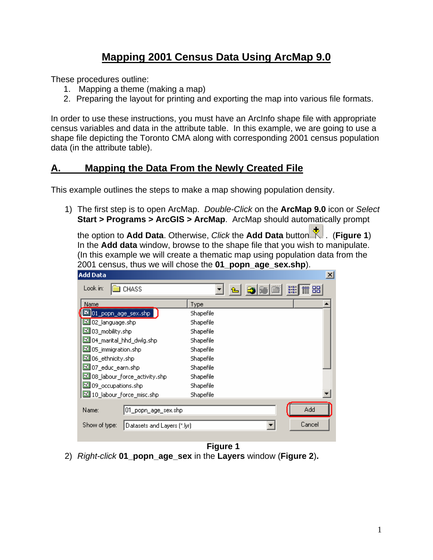## **Mapping 2001 Census Data Using ArcMap 9.0**

These procedures outline:

- 1. Mapping a theme (making a map)
- 2. Preparing the layout for printing and exporting the map into various file formats.

In order to use these instructions, you must have an ArcInfo shape file with appropriate census variables and data in the attribute table. In this example, we are going to use a shape file depicting the Toronto CMA along with corresponding 2001 census population data (in the attribute table).

## **A. Mapping the Data From the Newly Created File**

This example outlines the steps to make a map showing population density.

1) The first step is to open ArcMap. *Double-Click* on the **ArcMap 9.0** icon or *Select* **Start > Programs > ArcGIS > ArcMap**. ArcMap should automatically prompt

the option to **Add Data**. Otherwise, *Click* the **Add Data** button . (**Figure 1**) In the **Add data** window, browse to the shape file that you wish to manipulate. (In this example we will create a thematic map using population data from the 2001 census, thus we will chose the **01\_popn\_age\_sex.shp**).

| $\mathbb{m}$ 88 |
|-----------------|
|                 |
|                 |
|                 |
|                 |
|                 |
|                 |
|                 |
|                 |
|                 |
|                 |
|                 |
|                 |
|                 |
|                 |
|                 |
|                 |
| Cancel          |

**Figure 1** 2) *Right-click* **01\_popn\_age\_sex** in the **Layers** window (**Figure 2**)**.**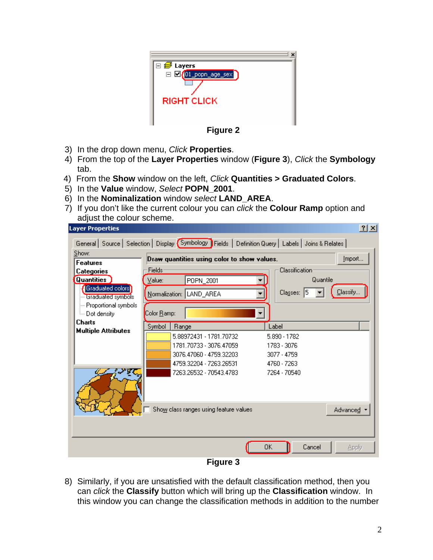

**Figure 2**

- 3) In the drop down menu, *Click* **Properties**.
- 4) From the top of the **Layer Properties** window (**Figure 3**), *Click* the **Symbology** tab.
- 4) From the **Show** window on the left, *Click* **Quantities > Graduated Colors**.
- 5) In the **Value** window, *Select* **POPN\_2001**.
- 6) In the **Nominalization** window *select* **LAND\_AREA**.
- 7) If you don't like the current colour you can *click* the **Colour Ramp** option and adjust the colour scheme.

|                                                 |                     | General   Source   Selection   Display (Symbology   Fields   Definition Query   Labels   Joins & Relates                            |                                                                           |                   |
|-------------------------------------------------|---------------------|-------------------------------------------------------------------------------------------------------------------------------------|---------------------------------------------------------------------------|-------------------|
| Show:                                           |                     | Draw quantities using color to show values.                                                                                         |                                                                           | Import            |
| <b>Features</b>                                 |                     |                                                                                                                                     |                                                                           |                   |
| Categories                                      | Fields              |                                                                                                                                     | <b>Classification</b>                                                     |                   |
| <b>Quantities</b>                               | Value:              | POPN_2001                                                                                                                           | Quantile                                                                  |                   |
| <b>EGraduated colors!</b><br>linaduated symbols |                     | Normalization: LAND_AREA                                                                                                            | Classes: 5                                                                | Classify          |
| - Proportional symbols                          |                     |                                                                                                                                     |                                                                           |                   |
| <sub>i</sub> Dot density                        | Color <u>R</u> amp: |                                                                                                                                     | ▼                                                                         |                   |
| <b>Charts</b><br><b>Multiple Attributes</b>     | Symbol              | Range                                                                                                                               | Label                                                                     |                   |
|                                                 |                     | 5.88972431 - 1781.70732<br>1781.70733 - 3076.47059<br>3076.47060 - 4759.32203<br>4759.32204 - 7263.26531<br>7263.26532 - 70543.4783 | 5.890 - 1782<br>1783 - 3076<br>3077 - 4759<br>4760 - 7263<br>7264 - 70540 |                   |
|                                                 |                     | Show class ranges using feature values                                                                                              | OK<br>Cancel                                                              | Advanced<br>Apply |

8) Similarly, if you are unsatisfied with the default classification method, then you can *click* the **Classify** button which will bring up the **Classification** window. In this window you can change the classification methods in addition to the number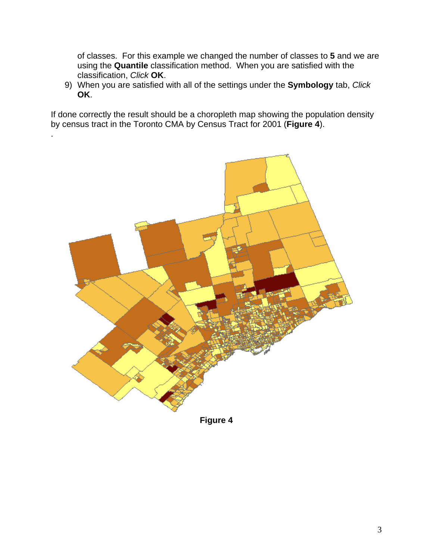of classes. For this example we changed the number of classes to **5** and we are using the **Quantile** classification method. When you are satisfied with the classification, *Click* **OK**.

9) When you are satisfied with all of the settings under the **Symbology** tab, *Click* **OK**.

If done correctly the result should be a choropleth map showing the population density by census tract in the Toronto CMA by Census Tract for 2001 (**Figure 4**).

.



**Figure 4**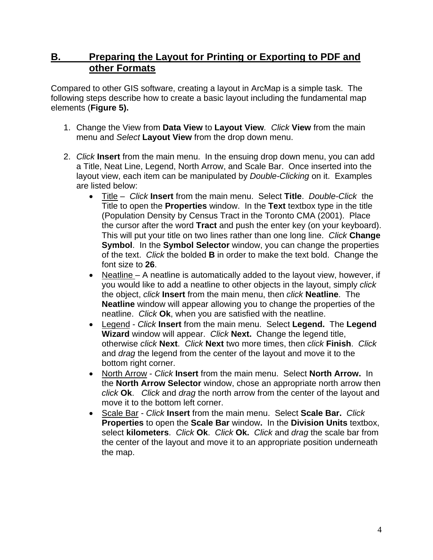## **B. Preparing the Layout for Printing or Exporting to PDF and other Formats**

Compared to other GIS software, creating a layout in ArcMap is a simple task. The following steps describe how to create a basic layout including the fundamental map elements (**Figure 5).** 

- 1. Change the View from **Data View** to **Layout View***. Click* **View** from the main menu and *Select* **Layout View** from the drop down menu.
- 2. *Click* **Insert** from the main menu. In the ensuing drop down menu, you can add a Title, Neat Line, Legend, North Arrow, and Scale Bar. Once inserted into the layout view, each item can be manipulated by *Double-Clicking* on it. Examples are listed below:
	- Title *Click* **Insert** from the main menu. Select **Title**. *Double-Click* the Title to open the **Properties** window. In the **Text** textbox type in the title (Population Density by Census Tract in the Toronto CMA (2001). Place the cursor after the word **Tract** and push the enter key (on your keyboard). This will put your title on two lines rather than one long line. *Click* **Change Symbol**. In the **Symbol Selector** window, you can change the properties of the text. *Click* the bolded **B** in order to make the text bold. Change the font size to **26**.
	- Neatline A neatline is automatically added to the layout view, however, if you would like to add a neatline to other objects in the layout, simply *click* the object, *click* **Insert** from the main menu, then *click* **Neatline**. The **Neatline** window will appear allowing you to change the properties of the neatline. *Click* **Ok**, when you are satisfied with the neatline.
	- Legend *Click* **Insert** from the main menu. Select **Legend.** The **Legend Wizard** window will appear. *Click* **Next.** Change the legend title, otherwise *click* **Next**. *Click* **Next** two more times, then *click* **Finish**. *Click* and *drag* the legend from the center of the layout and move it to the bottom right corner.
	- North Arrow - *Click* **Insert** from the main menu. Select **North Arrow.** In the **North Arrow Selector** window, chose an appropriate north arrow then *click* **Ok**.*Click* and *drag* the north arrow from the center of the layout and move it to the bottom left corner.
	- Scale Bar *Click* **Insert** from the main menu. Select **Scale Bar.** *Click*  **Properties** to open the **Scale Bar** window**.** In the **Division Units** textbox, select **kilometers**. *Click* **Ok**. *Click* **Ok.** *Click* and *drag* the scale bar from the center of the layout and move it to an appropriate position underneath the map.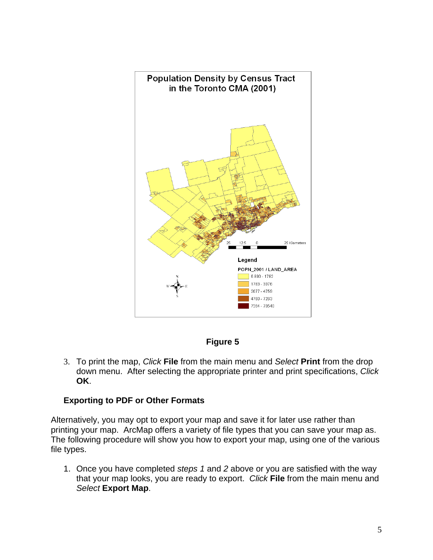

**Figure 5** 

3. To print the map, *Click* **File** from the main menu and *Select* **Print** from the drop down menu. After selecting the appropriate printer and print specifications, *Click* **OK**.

## **Exporting to PDF or Other Formats**

Alternatively, you may opt to export your map and save it for later use rather than printing your map. ArcMap offers a variety of file types that you can save your map as. The following procedure will show you how to export your map, using one of the various file types.

1. Once you have completed *steps 1* and *2* above or you are satisfied with the way that your map looks, you are ready to export. *Click* **File** from the main menu and *Select* **Export Map**.